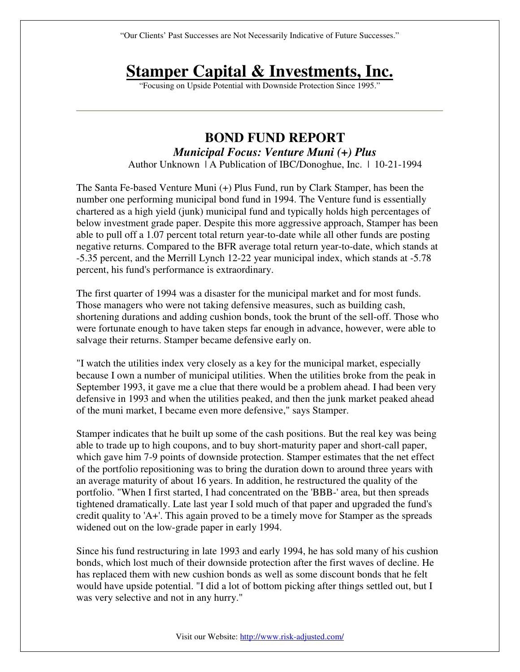"Our Clients' Past Successes are Not Necessarily Indicative of Future Successes."

## **Stamper Capital & Investments, Inc.**

"Focusing on Upside Potential with Downside Protection Since 1995."

## **BOND FUND REPORT**  *Municipal Focus: Venture Muni (+) Plus*

Author Unknown | A Publication of IBC/Donoghue, Inc. | 10-21-1994

The Santa Fe-based Venture Muni (+) Plus Fund, run by Clark Stamper, has been the number one performing municipal bond fund in 1994. The Venture fund is essentially chartered as a high yield (junk) municipal fund and typically holds high percentages of below investment grade paper. Despite this more aggressive approach, Stamper has been able to pull off a 1.07 percent total return year-to-date while all other funds are posting negative returns. Compared to the BFR average total return year-to-date, which stands at -5.35 percent, and the Merrill Lynch 12-22 year municipal index, which stands at -5.78 percent, his fund's performance is extraordinary.

The first quarter of 1994 was a disaster for the municipal market and for most funds. Those managers who were not taking defensive measures, such as building cash, shortening durations and adding cushion bonds, took the brunt of the sell-off. Those who were fortunate enough to have taken steps far enough in advance, however, were able to salvage their returns. Stamper became defensive early on.

"I watch the utilities index very closely as a key for the municipal market, especially because I own a number of municipal utilities. When the utilities broke from the peak in September 1993, it gave me a clue that there would be a problem ahead. I had been very defensive in 1993 and when the utilities peaked, and then the junk market peaked ahead of the muni market, I became even more defensive," says Stamper.

Stamper indicates that he built up some of the cash positions. But the real key was being able to trade up to high coupons, and to buy short-maturity paper and short-call paper, which gave him 7-9 points of downside protection. Stamper estimates that the net effect of the portfolio repositioning was to bring the duration down to around three years with an average maturity of about 16 years. In addition, he restructured the quality of the portfolio. "When I first started, I had concentrated on the 'BBB-' area, but then spreads tightened dramatically. Late last year I sold much of that paper and upgraded the fund's credit quality to 'A+'. This again proved to be a timely move for Stamper as the spreads widened out on the low-grade paper in early 1994.

Since his fund restructuring in late 1993 and early 1994, he has sold many of his cushion bonds, which lost much of their downside protection after the first waves of decline. He has replaced them with new cushion bonds as well as some discount bonds that he felt would have upside potential. "I did a lot of bottom picking after things settled out, but I was very selective and not in any hurry."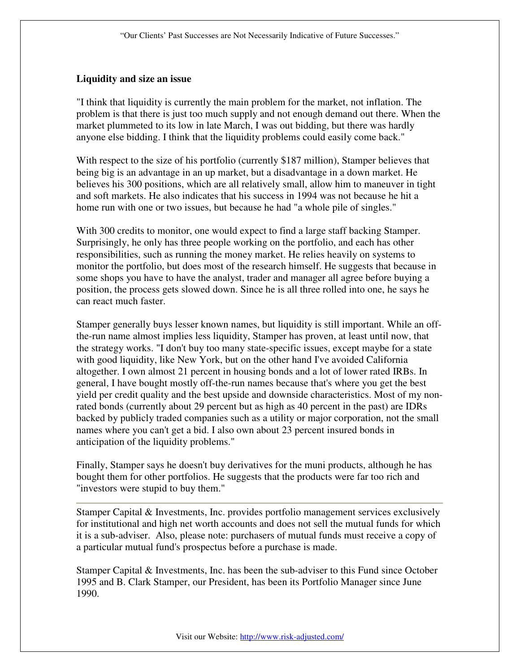## **Liquidity and size an issue**

"I think that liquidity is currently the main problem for the market, not inflation. The problem is that there is just too much supply and not enough demand out there. When the market plummeted to its low in late March, I was out bidding, but there was hardly anyone else bidding. I think that the liquidity problems could easily come back."

With respect to the size of his portfolio (currently \$187 million), Stamper believes that being big is an advantage in an up market, but a disadvantage in a down market. He believes his 300 positions, which are all relatively small, allow him to maneuver in tight and soft markets. He also indicates that his success in 1994 was not because he hit a home run with one or two issues, but because he had "a whole pile of singles."

With 300 credits to monitor, one would expect to find a large staff backing Stamper. Surprisingly, he only has three people working on the portfolio, and each has other responsibilities, such as running the money market. He relies heavily on systems to monitor the portfolio, but does most of the research himself. He suggests that because in some shops you have to have the analyst, trader and manager all agree before buying a position, the process gets slowed down. Since he is all three rolled into one, he says he can react much faster.

Stamper generally buys lesser known names, but liquidity is still important. While an offthe-run name almost implies less liquidity, Stamper has proven, at least until now, that the strategy works. "I don't buy too many state-specific issues, except maybe for a state with good liquidity, like New York, but on the other hand I've avoided California altogether. I own almost 21 percent in housing bonds and a lot of lower rated IRBs. In general, I have bought mostly off-the-run names because that's where you get the best yield per credit quality and the best upside and downside characteristics. Most of my nonrated bonds (currently about 29 percent but as high as 40 percent in the past) are IDRs backed by publicly traded companies such as a utility or major corporation, not the small names where you can't get a bid. I also own about 23 percent insured bonds in anticipation of the liquidity problems."

Finally, Stamper says he doesn't buy derivatives for the muni products, although he has bought them for other portfolios. He suggests that the products were far too rich and "investors were stupid to buy them."

Stamper Capital & Investments, Inc. provides portfolio management services exclusively for institutional and high net worth accounts and does not sell the mutual funds for which it is a sub-adviser. Also, please note: purchasers of mutual funds must receive a copy of a particular mutual fund's prospectus before a purchase is made.

Stamper Capital & Investments, Inc. has been the sub-adviser to this Fund since October 1995 and B. Clark Stamper, our President, has been its Portfolio Manager since June 1990.